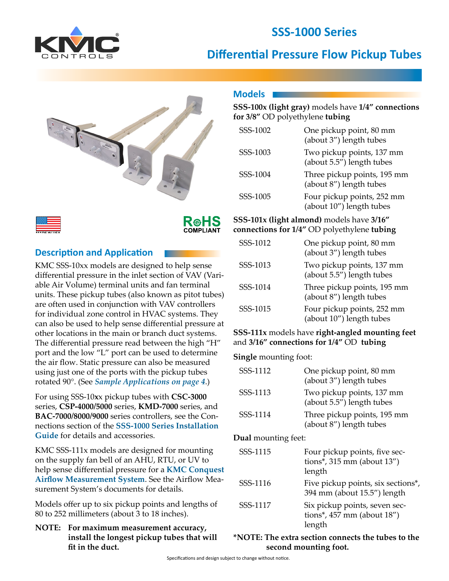

# **SSS-1000 Series**

# **Differential Pressure Flow Pickup Tubes**



## **Description and Application**

KMC SSS-10xx models are designed to help sense differential pressure in the inlet section of VAV (Variable Air Volume) terminal units and fan terminal units. These pickup tubes (also known as pitot tubes) are often used in conjunction with VAV controllers for individual zone control in HVAC systems. They can also be used to help sense differential pressure at other locations in the main or branch duct systems. The differential pressure read between the high "H" port and the low "L" port can be used to determine the air flow. Static pressure can also be measured using just one of the ports with the pickup tubes rotated 90°. (See *[Sample Applications on page 4](#page-3-0)*.)

For using SSS-10**x**x pickup tubes with **CSC-3000** series, **CSP-4000/5000** series, **KMD-7000** series, and **BAC-7000/8000/9000** series controllers, see the Connections section of the **[SSS-1000 Series Installation](https://www.kmccontrols.com/product/sensor-differential-pressure-3-5-32/)  [Guide](https://www.kmccontrols.com/product/sensor-differential-pressure-3-5-32/)** for details and accessories.

KMC SSS-111x models are designed for mounting on the supply fan bell of an AHU, RTU, or UV to help sense differential pressure for a **[KMC Conquest](https://www.kmccontrols.com/solutions/airflow-measurement/)  [Airflow Measurement System](https://www.kmccontrols.com/solutions/airflow-measurement/)**. See the Airflow Measurement System's documents for details.

Models offer up to six pickup points and lengths of 80 to 252 millimeters (about 3 to 18 inches).

**NOTE: For maximum measurement accuracy, install the longest pickup tubes that will fit in the duct.**

## **Models**

## **SSS-100x (light gray)** models have **1/4" connections for 3/8"** OD polyethylene **tubing**

| SSS-1002 | One pickup point, 80 mm<br>(about 3") length tubes     |
|----------|--------------------------------------------------------|
| SSS-1003 | Two pickup points, 137 mm<br>(about 5.5") length tubes |
| SSS-1004 | Three pickup points, 195 mm<br>(about 8") length tubes |
| SSS-1005 | Four pickup points, 252 mm<br>(about 10") length tubes |

#### **SSS-101x (light almond)** models have **3/16" connections for 1/4"** OD polyethylene **tubing**

| SSS-1012 | One pickup point, 80 mm<br>(about 3") length tubes     |
|----------|--------------------------------------------------------|
| SSS-1013 | Two pickup points, 137 mm<br>(about 5.5") length tubes |
| SSS-1014 | Three pickup points, 195 mm<br>(about 8") length tubes |
| SSS-1015 | Four pickup points, 252 mm<br>(about 10") length tubes |

#### **SSS-111x** models have **right-angled mounting feet** and **3/16" connections for 1/4"** OD **tubing**

**Single** mounting foot:

| SSS-1112 | One pickup point, 80 mm<br>(about 3") length tubes     |
|----------|--------------------------------------------------------|
| SSS-1113 | Two pickup points, 137 mm<br>(about 5.5") length tubes |
| SSS-1114 | Three pickup points, 195 mm<br>(about 8") length tubes |

### **Dual** mounting feet:

| SSS-1115 | Four pickup points, five sec-<br>tions*, $315$ mm (about $13''$ )<br>length |
|----------|-----------------------------------------------------------------------------|
| SSS-1116 | Five pickup points, six sections*,<br>394 mm (about 15.5") length           |
| SSS-1117 | Six pickup points, seven sec-<br>tions*, $457$ mm (about $18$ ")<br>length  |

### **\*NOTE: The extra section connects the tubes to the second mounting foot.**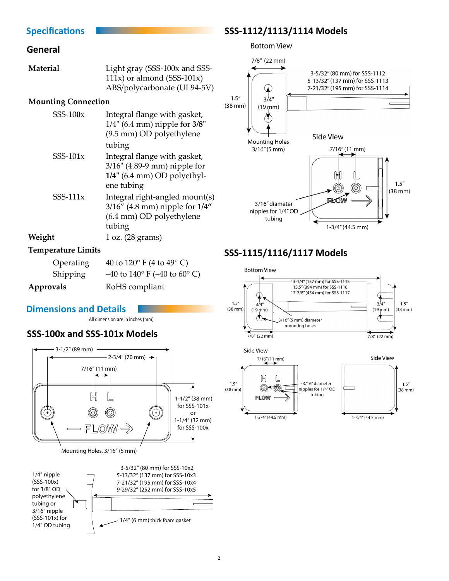## <span id="page-1-0"></span>**Specifications**

### **General**

| Material | Light gray (SSS-100x and SSS- |
|----------|-------------------------------|
|          | 111x) or almond $(SSS-101x)$  |
|          | ABS/polycarbonate (UL94-5V)   |

#### **Mounting Connection**

| $SSS-100x$  | Integral flange with gasket,<br>$1/4$ " (6.4 mm) nipple for $3/8$ "<br>(9.5 mm) OD polyethylene              |
|-------------|--------------------------------------------------------------------------------------------------------------|
|             | tubing                                                                                                       |
| SSS- $101x$ | Integral flange with gasket,<br>3/16" (4.89-9 mm) nipple for<br>$1/4$ " (6.4 mm) OD polyethyl-<br>ene tubing |
| $SSS-111x$  | Integral right-angled mount(s)<br>$3/16''$ (4.8 mm) nipple for $1/4''$<br>(6.4 mm) OD polyethylene<br>tubing |
| Weight      | 1 oz. (28 grams)                                                                                             |

#### **Temperature Limits**

| Operating       | 40 to $120^{\circ}$ F (4 to $49^{\circ}$ C)         |
|-----------------|-----------------------------------------------------|
| <b>Shipping</b> | $-40$ to $140^{\circ}$ F ( $-40$ to $60^{\circ}$ C) |
| Approvals       | RoHS compliant                                      |

### **Dimensions and Details**

All dimension are in inches (mm)

## **SSS-100x and SSS-101x Models**







## **SSS-1112/1113/1114 Models**

**Bottom View** 



# **SSS-1115/1116/1117 Models**

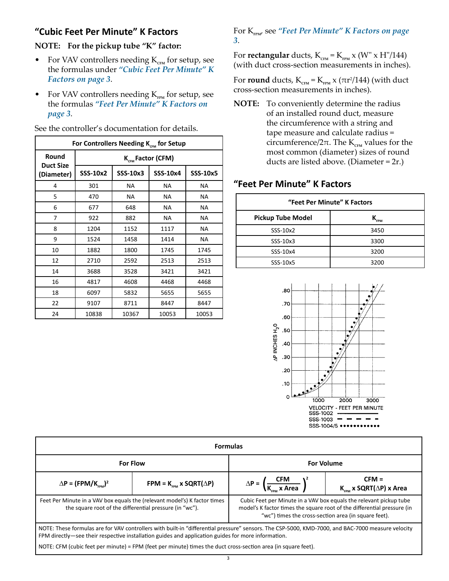# <span id="page-2-1"></span><span id="page-2-0"></span>**"Cubic Feet Per Minute" K Factors**

**NOTE: For the pickup tube "K" factor:**

- For VAV controllers needing  $K_{\text{cm}}$  for setup, see the formulas under *["Cubic Feet Per Minute" K](#page-2-1)  [Factors on page 3](#page-2-1)*.
- For VAV controllers needing K<sub>FPM</sub> for setup, see the formulas *["Feet Per Minute" K Factors on](#page-2-2)  [page 3](#page-2-2)*.

| For Controllers Needing K <sub>cEM</sub> for Setup |                               |          |           |          |
|----------------------------------------------------|-------------------------------|----------|-----------|----------|
| Round<br><b>Duct Size</b>                          | K <sub>CEM</sub> Factor (CFM) |          |           |          |
| (Diameter)                                         | SSS-10x2                      | SSS-10x3 | SSS-10x4  | SSS-10x5 |
| 4                                                  | 301                           | NA.      | NA.       | NA.      |
| 5                                                  | 470                           | NA.      | NA.       | ΝA       |
| 6                                                  | 677                           | 648      | <b>NA</b> | ΝA       |
| 7                                                  | 922                           | 882      | <b>NA</b> | NA       |
| 8                                                  | 1204                          | 1152     | 1117      | NA       |
| 9                                                  | 1524                          | 1458     | 1414      | NA       |
| 10                                                 | 1882                          | 1800     | 1745      | 1745     |
| 12                                                 | 2710                          | 2592     | 2513      | 2513     |
| 14                                                 | 3688                          | 3528     | 3421      | 3421     |
| 16                                                 | 4817                          | 4608     | 4468      | 4468     |
| 18                                                 | 6097                          | 5832     | 5655      | 5655     |
| 22                                                 | 9107                          | 8711     | 8447      | 8447     |
| 24                                                 | 10838                         | 10367    | 10053     | 10053    |

See the controller's documentation for details.

#### For K<sub>FPM</sub>, see "Feet Per Minute" K Factors on page *[3](#page-2-2)*.

For **rectangular** ducts,  $K_{\text{cm}} = K_{\text{FPM}} x$  (W" x H"/144) (with duct cross-section measurements in inches).

For **round** ducts,  $K_{\text{c}_{\text{FM}}} = K_{\text{FPM}} \times (\pi r^2/144)$  (with duct cross-section measurements in inches).

**NOTE:** To conveniently determine the radius of an installed round duct, measure the circumference with a string and tape measure and calculate radius = circumference/2 $\pi$ . The K<sub>CFM</sub> values for the most common (diameter) sizes of round ducts are listed above. (Diameter = 2r.)

# <span id="page-2-2"></span>**"Feet Per Minute" K Factors**

| "Feet Per Minute" K Factors |                           |  |  |
|-----------------------------|---------------------------|--|--|
| <b>Pickup Tube Model</b>    | $\mathbf{K}_{_{\sf FPM}}$ |  |  |
| SSS-10x2                    | 3450                      |  |  |
| SSS-10x3                    | 3300                      |  |  |
| SSS-10x4                    | 3200                      |  |  |
| SSS-10x5                    | 3200                      |  |  |



| <b>Formulas</b>                                                                                                                                                                                                                                         |                                            |                                                                                                                                                                                                       |                                                        |
|---------------------------------------------------------------------------------------------------------------------------------------------------------------------------------------------------------------------------------------------------------|--------------------------------------------|-------------------------------------------------------------------------------------------------------------------------------------------------------------------------------------------------------|--------------------------------------------------------|
| <b>For Flow</b>                                                                                                                                                                                                                                         |                                            | <b>For Volume</b>                                                                                                                                                                                     |                                                        |
| $\Delta P = (FPM/K_{\text{max}})^2$                                                                                                                                                                                                                     | FPM = $K_{\text{em}}$ x SQRT( $\Delta P$ ) | $\Delta P = \left(\frac{CFM}{K_{\text{max}} \times \text{Area}}\right)^2$                                                                                                                             | $CFM =$<br>$K_{\text{com}}$ x SQRT( $\Delta$ P) x Area |
| Feet Per Minute in a VAV box equals the (relevant model's) K factor times<br>the square root of the differential pressure (in "wc").                                                                                                                    |                                            | Cubic Feet per Minute in a VAV box equals the relevant pickup tube<br>model's K factor times the square root of the differential pressure (in<br>"wc") times the cross-section area (in square feet). |                                                        |
| NOTE: These formulas are for VAV controllers with built-in "differential pressure" sensors. The CSP-5000, KMD-7000, and BAC-7000 measure velocity<br>FPM directly—see their respective installation guides and application guides for more information. |                                            |                                                                                                                                                                                                       |                                                        |

NOTE: CFM (cubic feet per minute) = FPM (feet per minute) times the duct cross-section area (in square feet).